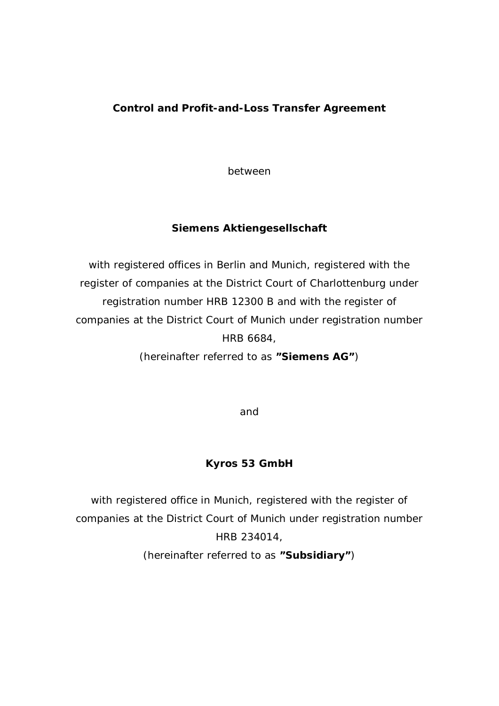## **Control and Profit-and-Loss Transfer Agreement**

between

**Siemens Aktiengesellschaft**

with registered offices in Berlin and Munich, registered with the register of companies at the District Court of Charlottenburg under registration number HRB 12300 B and with the register of companies at the District Court of Munich under registration number HRB 6684,

(hereinafter referred to as **"Siemens AG"**)

and

**Kyros 53 GmbH**

with registered office in Munich, registered with the register of companies at the District Court of Munich under registration number HRB 234014,

(hereinafter referred to as **"Subsidiary"**)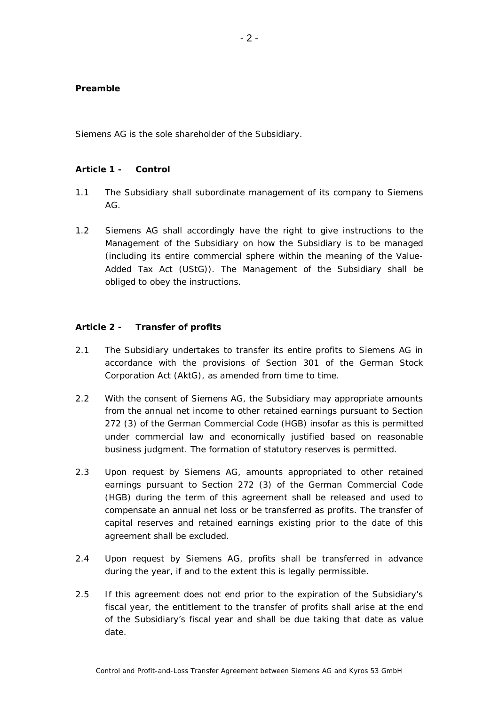## **Preamble**

Siemens AG is the sole shareholder of the Subsidiary.

## **Article 1 - Control**

- 1.1 The Subsidiary shall subordinate management of its company to Siemens AG.
- 1.2 Siemens AG shall accordingly have the right to give instructions to the Management of the Subsidiary on how the Subsidiary is to be managed (including its entire commercial sphere within the meaning of the Value-Added Tax Act (UStG)). The Management of the Subsidiary shall be obliged to obey the instructions.

## **Article 2 - Transfer of profits**

- 2.1 The Subsidiary undertakes to transfer its entire profits to Siemens AG in accordance with the provisions of Section 301 of the German Stock Corporation Act (AktG), as amended from time to time.
- 2.2 With the consent of Siemens AG, the Subsidiary may appropriate amounts from the annual net income to other retained earnings pursuant to Section 272 (3) of the German Commercial Code (HGB) insofar as this is permitted under commercial law and economically justified based on reasonable business judgment. The formation of statutory reserves is permitted.
- 2.3 Upon request by Siemens AG, amounts appropriated to other retained earnings pursuant to Section 272 (3) of the German Commercial Code (HGB) during the term of this agreement shall be released and used to compensate an annual net loss or be transferred as profits. The transfer of capital reserves and retained earnings existing prior to the date of this agreement shall be excluded.
- 2.4 Upon request by Siemens AG, profits shall be transferred in advance during the year, if and to the extent this is legally permissible.
- 2.5 If this agreement does not end prior to the expiration of the Subsidiary's fiscal year, the entitlement to the transfer of profits shall arise at the end of the Subsidiary's fiscal year and shall be due taking that date as value date.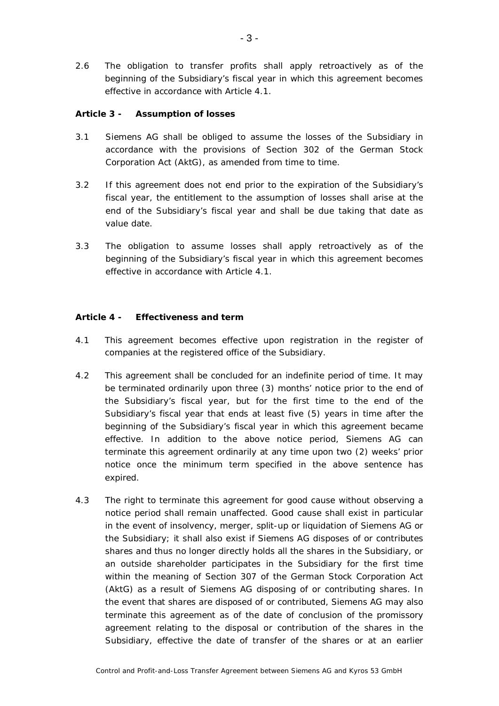2.6 The obligation to transfer profits shall apply retroactively as of the beginning of the Subsidiary's fiscal year in which this agreement becomes effective in accordance with Article 4.1.

**Article 3 - Assumption of losses**

- 3.1 Siemens AG shall be obliged to assume the losses of the Subsidiary in accordance with the provisions of Section 302 of the German Stock Corporation Act (AktG), as amended from time to time.
- 3.2 If this agreement does not end prior to the expiration of the Subsidiary's fiscal year, the entitlement to the assumption of losses shall arise at the end of the Subsidiary's fiscal year and shall be due taking that date as value date.
- 3.3 The obligation to assume losses shall apply retroactively as of the beginning of the Subsidiary's fiscal year in which this agreement becomes effective in accordance with Article 4.1.

**Article 4 - Effectiveness and term**

- 4.1 This agreement becomes effective upon registration in the register of companies at the registered office of the Subsidiary.
- 4.2 This agreement shall be concluded for an indefinite period of time. It may be terminated ordinarily upon three (3) months' notice prior to the end of the Subsidiary's fiscal year, but for the first time to the end of the Subsidiary's fiscal year that ends at least five (5) years in time after the beginning of the Subsidiary's fiscal year in which this agreement became effective. In addition to the above notice period, Siemens AG can terminate this agreement ordinarily at any time upon two (2) weeks' prior notice once the minimum term specified in the above sentence has expired.
- 4.3 The right to terminate this agreement for good cause without observing a notice period shall remain unaffected. Good cause shall exist in particular in the event of insolvency, merger, split-up or liquidation of Siemens AG or the Subsidiary; it shall also exist if Siemens AG disposes of or contributes shares and thus no longer directly holds all the shares in the Subsidiary, or an outside shareholder participates in the Subsidiary for the first time within the meaning of Section 307 of the German Stock Corporation Act (AktG) as a result of Siemens AG disposing of or contributing shares. In the event that shares are disposed of or contributed, Siemens AG may also terminate this agreement as of the date of conclusion of the promissory agreement relating to the disposal or contribution of the shares in the Subsidiary, effective the date of transfer of the shares or at an earlier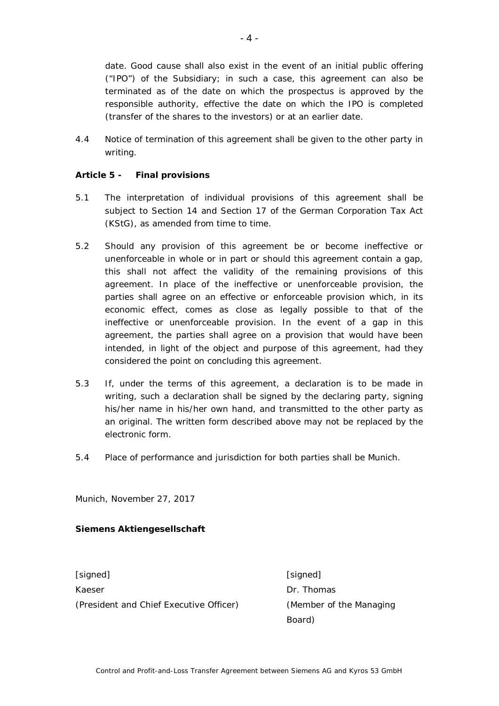date. Good cause shall also exist in the event of an initial public offering ("IPO") of the Subsidiary; in such a case, this agreement can also be terminated as of the date on which the prospectus is approved by the responsible authority, effective the date on which the IPO is completed (transfer of the shares to the investors) or at an earlier date.

4.4 Notice of termination of this agreement shall be given to the other party in writing.

**Article 5 - Final provisions**

- 5.1 The interpretation of individual provisions of this agreement shall be subject to Section 14 and Section 17 of the German Corporation Tax Act (KStG), as amended from time to time.
- 5.2 Should any provision of this agreement be or become ineffective or unenforceable in whole or in part or should this agreement contain a gap, this shall not affect the validity of the remaining provisions of this agreement. In place of the ineffective or unenforceable provision, the parties shall agree on an effective or enforceable provision which, in its economic effect, comes as close as legally possible to that of the ineffective or unenforceable provision. In the event of a gap in this agreement, the parties shall agree on a provision that would have been intended, in light of the object and purpose of this agreement, had they considered the point on concluding this agreement.
- 5.3 If, under the terms of this agreement, a declaration is to be made in writing, such a declaration shall be signed by the declaring party, signing his/her name in his/her own hand, and transmitted to the other party as an original. The written form described above may not be replaced by the electronic form.
- 5.4 Place of performance and jurisdiction for both parties shall be Munich.

Munich, November 27, 2017

**Siemens Aktiengesellschaft**

[signed] [signed] Kaeser **Dr. Thomas** (President and Chief Executive Officer) (Member of the Managing

Board)